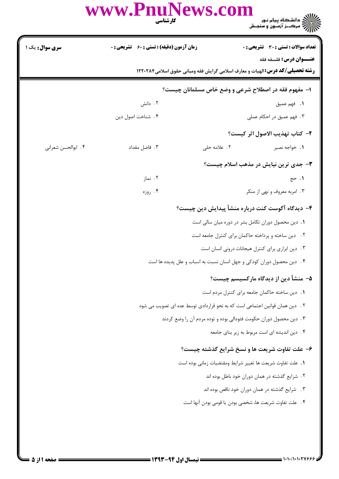## WWW.PnuNews.com

| <b>سری سوال :</b> یک ۱ | <b>زمان آزمون (دقیقه) : تستی : 60 ٪ تشریحی : 0</b> |              | <b>تعداد سوالات : تستي : 30 ٪ تشريحي : 0</b>                                         |
|------------------------|----------------------------------------------------|--------------|--------------------------------------------------------------------------------------|
|                        |                                                    |              | <b>عنـــوان درس:</b> فلسفه فقه                                                       |
|                        |                                                    |              | <b>رشته تحصیلی/کد درس:</b> الهیات و معارف اسلامی گرایش فقه ومبانی حقوق اسلامی1۲۲۰۲۸۴ |
|                        |                                                    |              | ۱– مفهوم فقه در اصطلاح شرعی و وضع خاص مسلمانان چیست؟                                 |
|                        | ۰۲ دانش                                            |              | ١. فهم عميق                                                                          |
|                        | ۰۴ شناخت اصول دين                                  |              | ۰۳ فهم عمیق در احکام عملی                                                            |
|                        |                                                    |              | ٢- كتاب تهذيب الاصول اثر كيست؟                                                       |
| ۰۴ ابوالحسن شعراني     | ۰۳ فاضل مقداد                                      | ۲. علامه حلی | ٠١. خواجه نصير                                                                       |
|                        |                                                    |              | <b>۳</b> - جدی ترین نیایش در مذهب اسلام چیست؟                                        |
|                        | ۰۲ نماز                                            |              | ۰۱ حج                                                                                |
|                        | ۰۴ روزه                                            |              | ۰۳ امربه معروف و نهی از منکر                                                         |
|                        |                                                    |              | ۴– دیدگاه آگوست کنت درباره منشأ پیدایش دین چیست؟                                     |
|                        |                                                    |              | 1. دین محصول دوران تکامل بشر در دوره میان سالی است                                   |
|                        |                                                    |              | ٢. دين ساخته و پرداخته حاكمان براي كنترل جامعه است                                   |
|                        |                                                    |              | ٠٣ دين ابزاري براي كنترل هيجانات دروني انسان است                                     |
|                        |                                                    |              | ۰۴ دین محصول دوران کودکی و جهل انسان نسبت به اسباب و علل پدیده ها است                |
|                        |                                                    |              | ۵– منشأ دین از دیدگاه مارکسیسم چیست؟                                                 |
|                        |                                                    |              | ٠١. دين ساخته حاكمان جامعه براي كنترل مردم است                                       |
|                        |                                                    |              | ٢ . دين همان قوانين اجتماعي است كه به نحو قراردادي توسط عده اي تصويب مي شود          |
|                        |                                                    |              | ۰۳ دین محصول دوران حکومت فئودالی بوده و توده مردم آن را وضع کردند                    |
|                        |                                                    |              | ۰۴ دین اندیشه ای است مربوط به زیر بنای جامعه                                         |
|                        |                                                    |              | ۶- علت تفاوت شریعت ها و نسخ شرایع گذشته چیست؟                                        |
|                        |                                                    |              | 1. علت تفاوت شريعت ها تغيير شرايط ومقتضيات زماني بوده است                            |
|                        |                                                    |              | ۲ . شرایع گذشته در همان دوران خود باطل بوده اند                                      |
|                        |                                                    |              | ۰۳ شرایع گذشته در همان دوران خود ناقص بوده اند                                       |
|                        |                                                    |              | ۴ .  علت تفاوت شريعت ها، شخصى بودن يا قومى بودن آنها است                             |
|                        |                                                    |              |                                                                                      |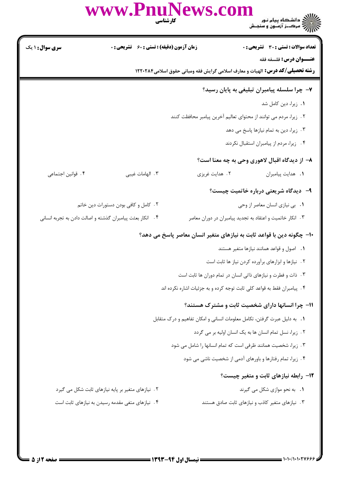|                        | www.PnuNews.com<br>كارشناسي                               |                |                                                                                                                        |
|------------------------|-----------------------------------------------------------|----------------|------------------------------------------------------------------------------------------------------------------------|
| <b>سری سوال :</b> ۱ یک | زمان آزمون (دقیقه) : تستی : 60 ٪ تشریحی : 0               |                | <b>تعداد سوالات : تستی : 30 ٪ تشریحی : 0</b>                                                                           |
|                        |                                                           |                | <b>عنـــوان درس:</b> فلسفه فقه<br><b>رشته تحصیلی/کد درس:</b> الهیات و معارف اسلامی گرایش فقه ومبانی حقوق اسلامی1۲۲۰۲۸۴ |
|                        |                                                           |                | ۷- چرا سلسله پیامبران تبلیغی به پایان رسید؟                                                                            |
|                        |                                                           |                | ٠١. زيرا، دين كامل شد                                                                                                  |
|                        |                                                           |                | ٢ . زيرا، مردم مي توانند از محتواي تعاليم آخرين پيامبر محافظت كنند                                                     |
|                        |                                                           |                | ۰۳ زیرا، دین به تمام نیازها پاسخ می دهد                                                                                |
|                        |                                                           |                | ۴. زیرا، مردم از پیامبران استقبال نکردند                                                                               |
|                        |                                                           |                | ۸– از دیدگاه اقبال لاهوری وحی به چه معنا است؟                                                                          |
| ۰۴ قوانین اجتماعی      | ۰۳ الهامات غيبي                                           | ۰۲ هدایت غریزی | ٠١. هدايت پيامبران                                                                                                     |
|                        |                                                           |                | ۹– دیدگاه شریعتی درباره خاتمیت چیست؟                                                                                   |
|                        | ٢. كامل و كافي بودن دستورات دين خاتم                      |                | ٠١ بي نيازي انسان معاصر از وحي                                                                                         |
|                        | ۰۴ انکار بعثت پیامبران گذشته و اصالت دادن به تجربه انسانی |                | ۰۳ انکار خاتمیت و اعتقاد به تجدید پیامبران در دوران معاصر                                                              |
|                        |                                                           |                | ∙ا− چگونه دین با قواعد ثابت به نیازهای متغیر انسان معاصر پاسخ می دهد؟                                                  |
|                        |                                                           |                | ۰۱ اصول و قواعد همانند نیازها متغیر هستند                                                                              |
|                        |                                                           |                | ٢. نیازها و ابزارهای برآورده کردن نیاز ها ثابت است                                                                     |
|                        |                                                           |                | ۰۳ ذات و فطرت و نیازهای ذاتی انسان در تمام دوران ها ثابت است                                                           |
|                        |                                                           |                | ۰۴ پیامبران فقط به قواعد کلی ثابت توجه کرده و به جزئیات اشاره نکرده اند                                                |
|                        |                                                           |                | 11- چرا انسانها دارای شخصیت ثابت و مشترک هستند؟                                                                        |
|                        |                                                           |                | 1. به دلیل عبرت گرفتن، تکامل معلومات انسانی و امکان تفاهیم و درک متقابل                                                |
|                        |                                                           |                | ٢. زیرا، نسل تمام انسان ها به یک انسان اولیه بر می گردد                                                                |
|                        |                                                           |                | ۰۳ زیرا، شخصیت همانند ظرفی است که تمام انسانها را شامل می شود                                                          |
|                        |                                                           |                | ۰۴ زیرا، تمام رفتارها و باورهای آدمی از شخصیت ناشی می شود                                                              |
|                        |                                                           |                | 1۲- رابطه نیازهای ثابت و متغیر چیست؟                                                                                   |
|                        | ٢. نیازهای متغیر بر پایه نیازهای ثابت شکل می گیرد         |                | ٠١. به نحو موازي شكل مي گيرند                                                                                          |
|                        | ۴. نیازهای متغی مقدمه رسیدن به نیازهای ثابت است           |                | ۰۳ نیازهای متغیر کاذب و نیازهای ثابت صادق هستند                                                                        |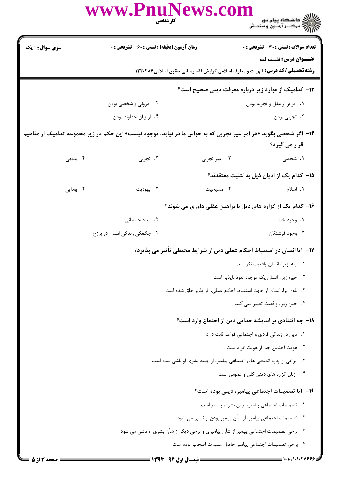|                        | www.PnuNews.com<br>كارشناسي                                                                                     |              | ے ۔<br>کا اللہ کا سکتاہ پیام نور<br>کا اللہ کرکٹ آزمیوں و سنجش      |
|------------------------|-----------------------------------------------------------------------------------------------------------------|--------------|---------------------------------------------------------------------|
| <b>سری سوال : ۱ یک</b> | <b>زمان آزمون (دقیقه) : تستی : 60 ٪ تشریحی : 0</b>                                                              |              | <b>تعداد سوالات : تستی : 30 ٪ تشریحی : 0</b>                        |
|                        | <b>رشته تحصیلی/کد درس:</b> الهیات و معارف اسلامی گرایش فقه ومبانی حقوق اسلامی1۲۲۰۲۸۴                            |              | <b>عنـــوان درس:</b> فلسفه فقه                                      |
|                        |                                                                                                                 |              | ۱۳- کدامیک از موارد زیر درباره معرفت دینی صحیح است؟                 |
|                        | ۰۲ درونی و شخصی بودن                                                                                            |              | ٠١. فراتر از عقل و تجربه بودن                                       |
|                        | ۰۴ از زبان خداوند بودن                                                                                          |              | ۰۳ تجربي بودن                                                       |
|                        | ۱۴– اگر شخصی بگوید:«هر امر غیر تجربی که به حواس ما در نیاید، موجود نیست» این حکم در زیر مجموعه کدامیک از مفاهیم |              |                                                                     |
|                        |                                                                                                                 |              | قرار می گیرد؟                                                       |
| ۴. بدیهی               | ۰۳ تجربی                                                                                                        | ٢. غير تجربي | <b>۱.</b> شخصی                                                      |
|                        |                                                                                                                 |              | ۱۵− کدام یک از ادیان ذیل به تثلیث معتقدند؟                          |
| ۰۴ بودایی              | ۰۳ يهوديت                                                                                                       | ٢. مسيحيت    | ۱. اسلام                                                            |
|                        |                                                                                                                 |              | ۱۶– کدام یک از گزاره های ذیل با براهین عقلی داوری می شوند؟          |
|                        | ۲. معاد جسمانی                                                                                                  |              | ١. وجود خدا                                                         |
|                        | ۰۴ چگونگی زندگی انسان در برزخ                                                                                   |              | ۰۳ وجود فرشتگان                                                     |
|                        | ۱۷– آیا انسان در استنباط احکام عملی دین از شرایط محیطی تأثیر می پذیرد؟                                          |              |                                                                     |
|                        |                                                                                                                 |              | ٠١ بله؛ زيرا، انسان واقعيت نكر است                                  |
|                        |                                                                                                                 |              | ۰۲ خیر؛ زیرا، انسان یک موجود نفوذ ناپذیر است                        |
|                        |                                                                                                                 |              | ٣. بله؛ زيرا، انسان از جهت استنباط احكام عملى، اثر پذير خلق شده است |
|                        |                                                                                                                 |              | ۴. خير؛ زيرا، واقعيت تغيير نمي كند                                  |
|                        |                                                                                                                 |              | ۱۸- چه انتقادی بر اندیشه جدایی دین از اجتماع وارد است؟              |
|                        |                                                                                                                 |              | 1. دین در زندگی فردی و اجتماعی قواعد ثابت دارد                      |
|                        |                                                                                                                 |              | ٢. هويت اجتماع جدا از هويت افراد است                                |
|                        | ۰۳ برخی از چاره اندیشی های اجتماعی پیامبر، از جنبه بشری او ناشی شده است                                         |              |                                                                     |
|                        |                                                                                                                 |              | ۴. زبان گزاره های دینی کلی و عمومی است                              |
|                        |                                                                                                                 |              | ۱۹– آیا تصمیمات اجتماعی پیامبر، دینی بوده است؟                      |
|                        |                                                                                                                 |              | ٠. تصميمات اجتماعي پيامبر، زبان بشرى پيامبر است                     |
|                        |                                                                                                                 |              | ۲ .  تصمیمات اجتماعی پیامبر، از شأن پیامبر بودن او ناشی می شود      |
|                        | ۳.  برخی تصمیمات اجتماعی پیامبر از شأن پیامبری و برخی دیگر از شأن بشری او ناشی می شود                           |              |                                                                     |
|                        |                                                                                                                 |              | ۴. برخی تصمیمات اجتماعی پیامبر حاصل مشورت اصحاب بوده است            |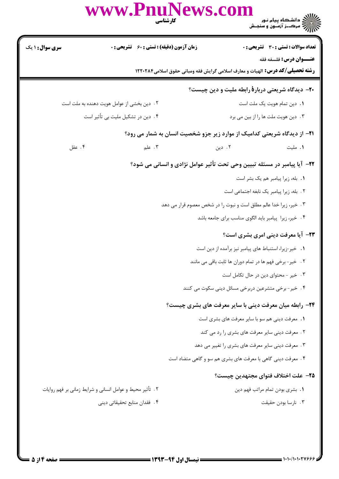|                                   | www.PnuNews.com<br>كارشناسي                               |                                                                                                                |
|-----------------------------------|-----------------------------------------------------------|----------------------------------------------------------------------------------------------------------------|
| سری سوال: ۱ یک                    | <b>زمان آزمون (دقیقه) : تستی : 60 ٪ تشریحی : 0</b>        | <b>تعداد سوالات : تستی : 30 ٪ تشریحی : 0</b>                                                                   |
|                                   |                                                           | عنــوان درس: فلسفه فقه<br><b>رشته تحصیلی/گد درس:</b> الهیات و معارف اسلامی گرایش فقه ومبانی حقوق اسلامی1۲۲۰۲۸۴ |
|                                   |                                                           | <b>۰۲-</b> دیدگاه شریعتی دربار <b>هٔ</b> رابطه ملیت و دین چیست؟                                                |
|                                   | ۲. دین بخشی از عوامل هویت دهنده به ملت است                | ٠١. دين تمام هويت يک ملت است                                                                                   |
| ۰۴ دین در تشکیل ملیت بی تأثیر است |                                                           | ۰۳ دین هویت ملت ها را از بین می برد                                                                            |
|                                   |                                                           | <b>۲۱</b> - از دیدگاه شریعتی کدامیک از موارد زیر جزو شخصیت انسان به شمار می رود؟                               |
| ۰۴ عقل                            | $\mathcal{F}$ . علم                                       | ۲. دین<br>٠١. مليت                                                                                             |
|                                   |                                                           | ۲۲- آیا پیامبر در مسئله تبیین وحی تحت تأثیر عوامل نژادی و انسانی می شود؟                                       |
|                                   |                                                           | ٠. بله، زيرا پيامبر هم يک بشر است                                                                              |
|                                   |                                                           | ٢. بله، زيرا پيامبر يک نابغه اجتماعي است                                                                       |
|                                   |                                                           | ۰۳ خیر، زیرا خدا عالم مطلق است و نبوت را در شخص معصوم قرار می دهد                                              |
|                                   |                                                           | ۴. خیر، زیرا پیامبر باید الگوی مناسب برای جامعه باشد                                                           |
|                                   |                                                           | <b>33-</b> آیا معرفت دینی امری بشری است؟                                                                       |
|                                   |                                                           | 1. خير-زيرا، استنباط هاى پيامبر نيز برآمده از دين است                                                          |
|                                   |                                                           | ۲. خیر-برخی فهم ها در تمام دوران ها ثابت باقی می مانند                                                         |
|                                   |                                                           | ۰۳ خیر - محتوای دین در حال تکامل است                                                                           |
|                                   |                                                           | ۴ . خیر - برخی متشرعین دربرخی مسائل دینی سکوت می کنند                                                          |
|                                   |                                                           | <b>34</b> - رابطه میان معرفت دینی با سایر معرفت های بشری چیست؟                                                 |
|                                   |                                                           | 1. معرفت دینی هم سو با سایر معرفت های بشری است                                                                 |
|                                   |                                                           | ۰۲ معرفت دینی سایر معرفت های بشری را رد می کند                                                                 |
|                                   |                                                           | ۰۳ معرفت دینی سایر معرفت های بشری را تغییر می دهد                                                              |
|                                   |                                                           | ۴. معرفت دینی گاهی با معرفت های بشری هم سو و گاهی متضاد است                                                    |
|                                   |                                                           | <b>۲۵</b> – علت اختلاف فتواى مجتهدين چيست؟                                                                     |
|                                   | ۲ . تأثیر محیط و عوامل انسانی و شرایط زمانی بر فهم روایات | ٠١. بشرى بودن تمام مراتب فهم دين                                                                               |
|                                   | ۴. فقدان منابع تحقیقاتی دینی                              | ٠٣ نارسا بودن حقيقت                                                                                            |
|                                   |                                                           |                                                                                                                |